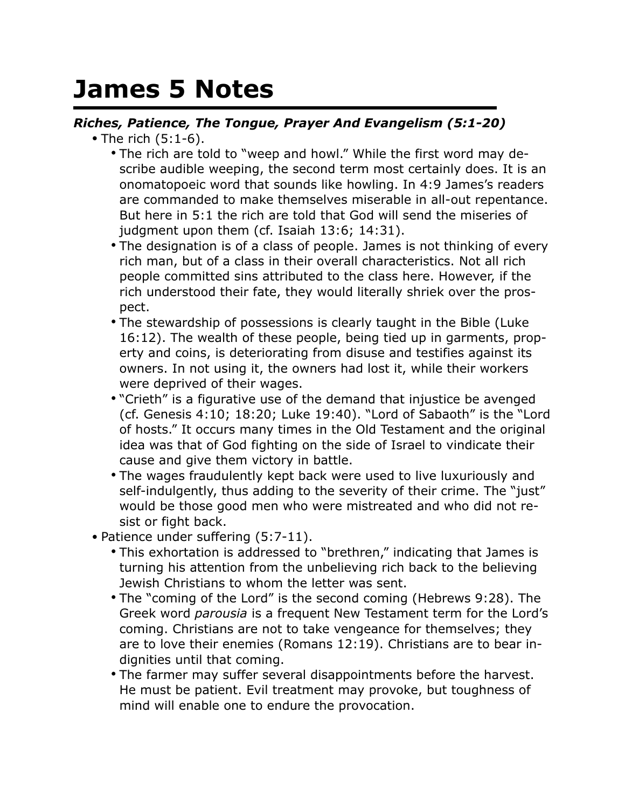## **James 5 Notes**

## *Riches, Patience, The Tongue, Prayer And Evangelism (5:1-20)*

- The rich (5:1-6).
	- The rich are told to "weep and howl." While the first word may describe audible weeping, the second term most certainly does. It is an onomatopoeic word that sounds like howling. In 4:9 James's readers are commanded to make themselves miserable in all-out repentance. But here in 5:1 the rich are told that God will send the miseries of judgment upon them (cf. Isaiah 13:6; 14:31).
	- The designation is of a class of people. James is not thinking of every rich man, but of a class in their overall characteristics. Not all rich people committed sins attributed to the class here. However, if the rich understood their fate, they would literally shriek over the prospect.
	- The stewardship of possessions is clearly taught in the Bible (Luke 16:12). The wealth of these people, being tied up in garments, property and coins, is deteriorating from disuse and testifies against its owners. In not using it, the owners had lost it, while their workers were deprived of their wages.
	- "Crieth" is a figurative use of the demand that injustice be avenged (cf. Genesis 4:10; 18:20; Luke 19:40). "Lord of Sabaoth" is the "Lord of hosts." It occurs many times in the Old Testament and the original idea was that of God fighting on the side of Israel to vindicate their cause and give them victory in battle.
	- The wages fraudulently kept back were used to live luxuriously and self-indulgently, thus adding to the severity of their crime. The "just" would be those good men who were mistreated and who did not resist or fight back.
- Patience under suffering (5:7-11).
	- This exhortation is addressed to "brethren," indicating that James is turning his attention from the unbelieving rich back to the believing Jewish Christians to whom the letter was sent.
	- The "coming of the Lord" is the second coming (Hebrews 9:28). The Greek word *parousia* is a frequent New Testament term for the Lord's coming. Christians are not to take vengeance for themselves; they are to love their enemies (Romans 12:19). Christians are to bear indignities until that coming.
	- The farmer may suffer several disappointments before the harvest. He must be patient. Evil treatment may provoke, but toughness of mind will enable one to endure the provocation.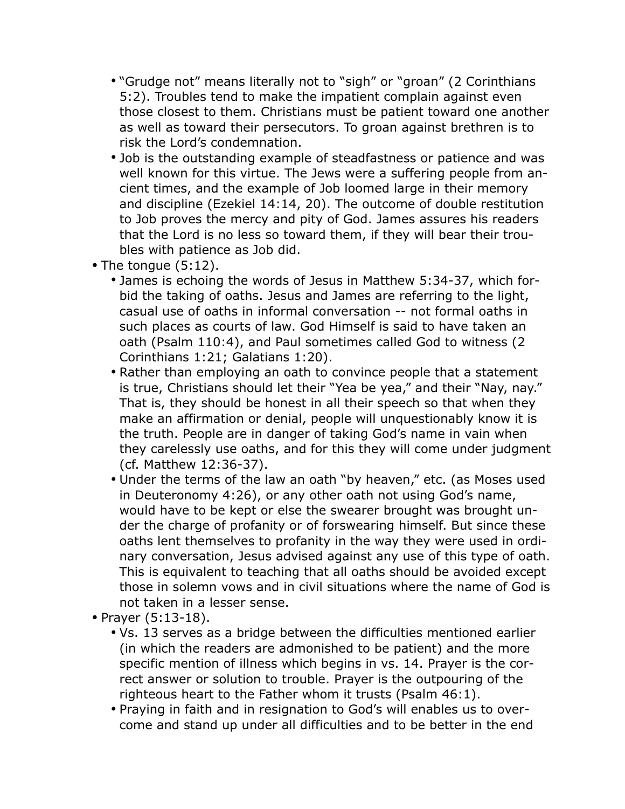- "Grudge not" means literally not to "sigh" or "groan" (2 Corinthians 5:2). Troubles tend to make the impatient complain against even those closest to them. Christians must be patient toward one another as well as toward their persecutors. To groan against brethren is to risk the Lord's condemnation.
- Job is the outstanding example of steadfastness or patience and was well known for this virtue. The Jews were a suffering people from ancient times, and the example of Job loomed large in their memory and discipline (Ezekiel 14:14, 20). The outcome of double restitution to Job proves the mercy and pity of God. James assures his readers that the Lord is no less so toward them, if they will bear their troubles with patience as Job did.
- The tongue (5:12).
	- James is echoing the words of Jesus in Matthew 5:34-37, which forbid the taking of oaths. Jesus and James are referring to the light, casual use of oaths in informal conversation -- not formal oaths in such places as courts of law. God Himself is said to have taken an oath (Psalm 110:4), and Paul sometimes called God to witness (2 Corinthians 1:21; Galatians 1:20).
	- Rather than employing an oath to convince people that a statement is true, Christians should let their "Yea be yea," and their "Nay, nay." That is, they should be honest in all their speech so that when they make an affirmation or denial, people will unquestionably know it is the truth. People are in danger of taking God's name in vain when they carelessly use oaths, and for this they will come under judgment (cf. Matthew 12:36-37).
	- Under the terms of the law an oath "by heaven," etc. (as Moses used in Deuteronomy 4:26), or any other oath not using God's name, would have to be kept or else the swearer brought was brought under the charge of profanity or of forswearing himself. But since these oaths lent themselves to profanity in the way they were used in ordinary conversation, Jesus advised against any use of this type of oath. This is equivalent to teaching that all oaths should be avoided except those in solemn vows and in civil situations where the name of God is not taken in a lesser sense.
- Prayer (5:13-18).
	- Vs. 13 serves as a bridge between the difficulties mentioned earlier (in which the readers are admonished to be patient) and the more specific mention of illness which begins in vs. 14. Prayer is the correct answer or solution to trouble. Prayer is the outpouring of the righteous heart to the Father whom it trusts (Psalm 46:1).
	- Praying in faith and in resignation to God's will enables us to overcome and stand up under all difficulties and to be better in the end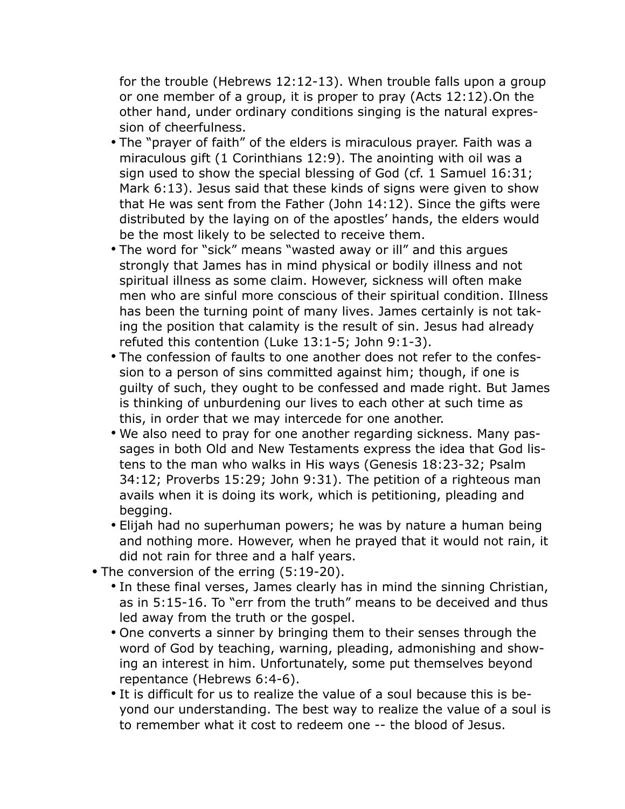for the trouble (Hebrews 12:12-13). When trouble falls upon a group or one member of a group, it is proper to pray (Acts 12:12).On the other hand, under ordinary conditions singing is the natural expression of cheerfulness.

- The "prayer of faith" of the elders is miraculous prayer. Faith was a miraculous gift (1 Corinthians 12:9). The anointing with oil was a sign used to show the special blessing of God (cf. 1 Samuel 16:31; Mark 6:13). Jesus said that these kinds of signs were given to show that He was sent from the Father (John 14:12). Since the gifts were distributed by the laying on of the apostles' hands, the elders would be the most likely to be selected to receive them.
- The word for "sick" means "wasted away or ill" and this argues strongly that James has in mind physical or bodily illness and not spiritual illness as some claim. However, sickness will often make men who are sinful more conscious of their spiritual condition. Illness has been the turning point of many lives. James certainly is not taking the position that calamity is the result of sin. Jesus had already refuted this contention (Luke 13:1-5; John 9:1-3).
- The confession of faults to one another does not refer to the confession to a person of sins committed against him; though, if one is guilty of such, they ought to be confessed and made right. But James is thinking of unburdening our lives to each other at such time as this, in order that we may intercede for one another.
- We also need to pray for one another regarding sickness. Many passages in both Old and New Testaments express the idea that God listens to the man who walks in His ways (Genesis 18:23-32; Psalm 34:12; Proverbs 15:29; John 9:31). The petition of a righteous man avails when it is doing its work, which is petitioning, pleading and begging.
- Elijah had no superhuman powers; he was by nature a human being and nothing more. However, when he prayed that it would not rain, it did not rain for three and a half years.
- The conversion of the erring (5:19-20).
	- In these final verses, James clearly has in mind the sinning Christian, as in 5:15-16. To "err from the truth" means to be deceived and thus led away from the truth or the gospel.
	- One converts a sinner by bringing them to their senses through the word of God by teaching, warning, pleading, admonishing and showing an interest in him. Unfortunately, some put themselves beyond repentance (Hebrews 6:4-6).
	- It is difficult for us to realize the value of a soul because this is beyond our understanding. The best way to realize the value of a soul is to remember what it cost to redeem one -- the blood of Jesus.